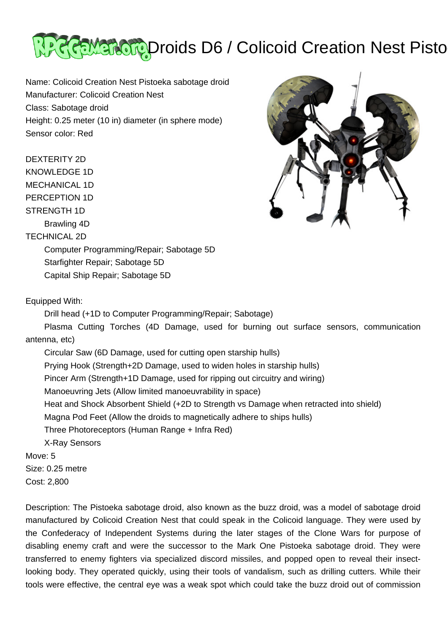

Name: Colicoid Creation Nest Pistoeka sabotage droid Manufacturer: Colicoid Creation Nest Class: Sabotage droid Height: 0.25 meter (10 in) diameter (in sphere mode) Sensor color: Red

# DEXTERITY 2D

KNOWLEDGE 1D

MECHANICAL 1D

PERCEPTION 1D

# STRENGTH 1D

Brawling 4D

## TECHNICAL 2D

 Computer Programming/Repair; Sabotage 5D Starfighter Repair; Sabotage 5D Capital Ship Repair; Sabotage 5D

# Equipped With:

Drill head (+1D to Computer Programming/Repair; Sabotage)

 Plasma Cutting Torches (4D Damage, used for burning out surface sensors, communication antenna, etc)

 Circular Saw (6D Damage, used for cutting open starship hulls) Prying Hook (Strength+2D Damage, used to widen holes in starship hulls) Pincer Arm (Strength+1D Damage, used for ripping out circuitry and wiring) Manoeuvring Jets (Allow limited manoeuvrability in space) Heat and Shock Absorbent Shield (+2D to Strength vs Damage when retracted into shield) Magna Pod Feet (Allow the droids to magnetically adhere to ships hulls) Three Photoreceptors (Human Range + Infra Red) X-Ray Sensors Move: 5 Size: 0.25 metre

Cost: 2,800

Description: The Pistoeka sabotage droid, also known as the buzz droid, was a model of sabotage droid manufactured by Colicoid Creation Nest that could speak in the Colicoid language. They were used by the Confederacy of Independent Systems during the later stages of the Clone Wars for purpose of disabling enemy craft and were the successor to the Mark One Pistoeka sabotage droid. They were transferred to enemy fighters via specialized discord missiles, and popped open to reveal their insectlooking body. They operated quickly, using their tools of vandalism, such as drilling cutters. While their tools were effective, the central eye was a weak spot which could take the buzz droid out of commission